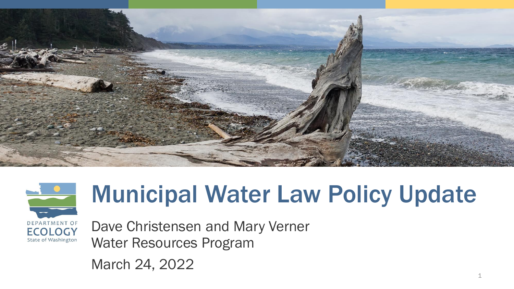



# Municipal Water Law Policy Update

Dave Christensen and Mary Verner Water Resources Program

March 24, 2022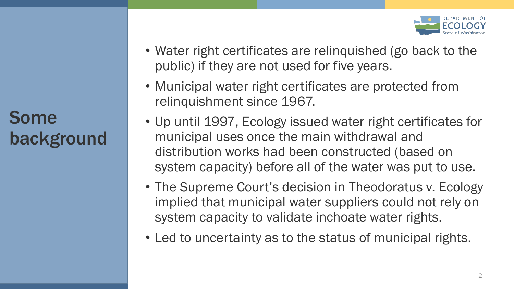Some background

- Water right certificates are relinquished (go back to the public) if they are not used for five years.
- Municipal water right certificates are protected from relinquishment since 1967.
- Up until 1997, Ecology issued water right certificates for municipal uses once the main withdrawal and distribution works had been constructed (based on system capacity) before all of the water was put to use.
- The Supreme Court's decision in Theodoratus v. Ecology implied that municipal water suppliers could not rely on system capacity to validate inchoate water rights.
- Led to uncertainty as to the status of municipal rights.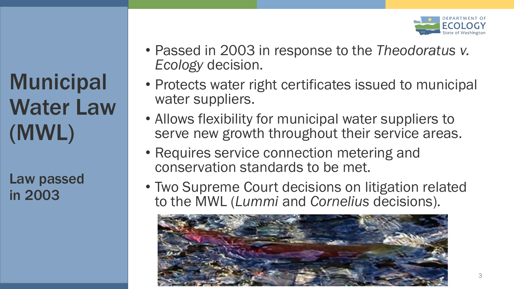**Municipal** Water Law (MWL)

Law passed in 2003

- Passed in 2003 in response to the *Theodoratus v. Ecology* decision.
- Protects water right certificates issued to municipal water suppliers.
- Allows flexibility for municipal water suppliers to serve new growth throughout their service areas.
- Requires service connection metering and conservation standards to be met.
- Two Supreme Court decisions on litigation related to the MWL (*Lummi* and *Cornelius* decisions).

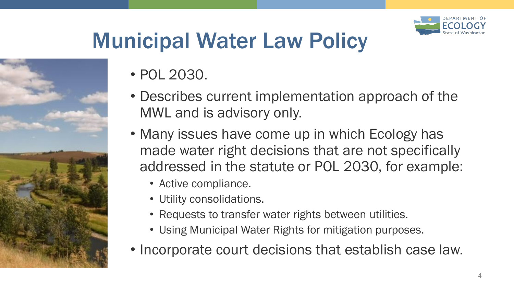

# Municipal Water Law Policy



- POL 2030.
- Describes current implementation approach of the MWL and is advisory only.
- Many issues have come up in which Ecology has made water right decisions that are not specifically addressed in the statute or POL 2030, for example:
	- Active compliance.
	- Utility consolidations.
	- Requests to transfer water rights between utilities.
	- Using Municipal Water Rights for mitigation purposes.
- Incorporate court decisions that establish case law.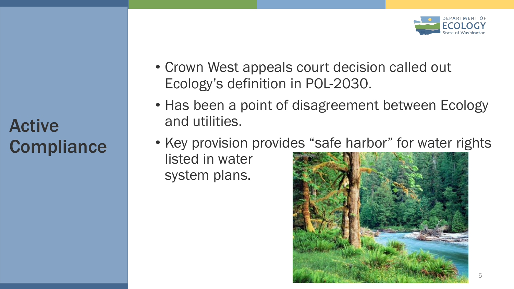Active **Compliance** 

- Crown West appeals court decision called out Ecology's definition in POL-2030.
- Has been a point of disagreement between Ecology and utilities.
- Key provision provides "safe harbor" for water rights listed in water system plans.

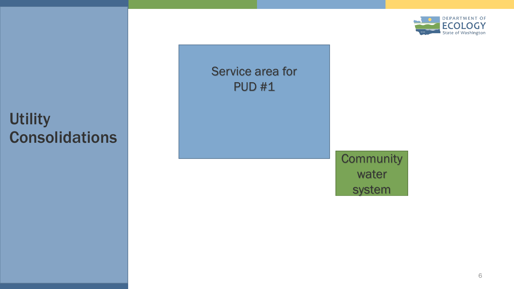

### **Utility Consolidations**

### Service area for PUD #1

### **Community** water system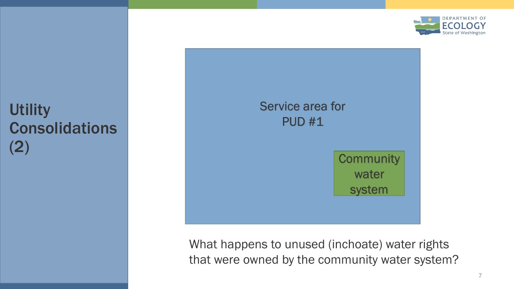

# PUD #1

Service area for **Community** water system

What happens to unused (inchoate) water rights that were owned by the community water system?

**Utility** Consolidations (2)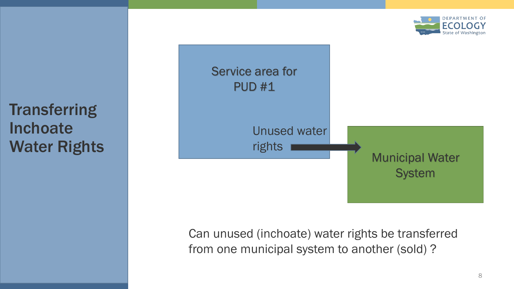**Transferring** Inchoate Water Rights



Can unused (inchoate) water rights be transferred from one municipal system to another (sold) ?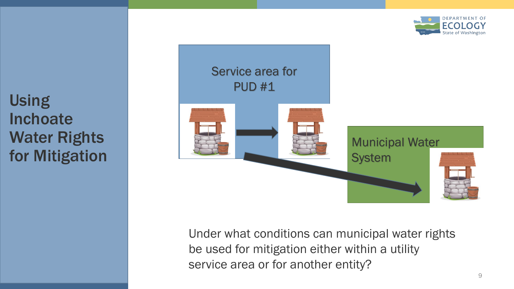

Using **Inchoate** Water Rights for Mitigation



Under what conditions can municipal water rights be used for mitigation either within a utility service area or for another entity?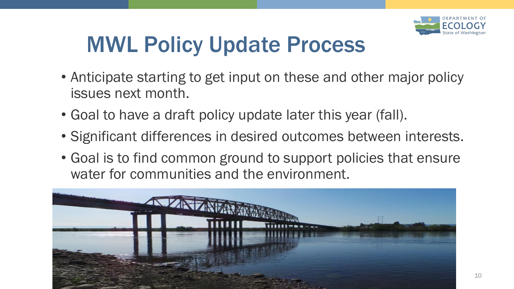

## MWL Policy Update Process

- Anticipate starting to get input on these and other major policy issues next month.
- Goal to have a draft policy update later this year (fall).
- Significant differences in desired outcomes between interests.
- Goal is to find common ground to support policies that ensure water for communities and the environment.